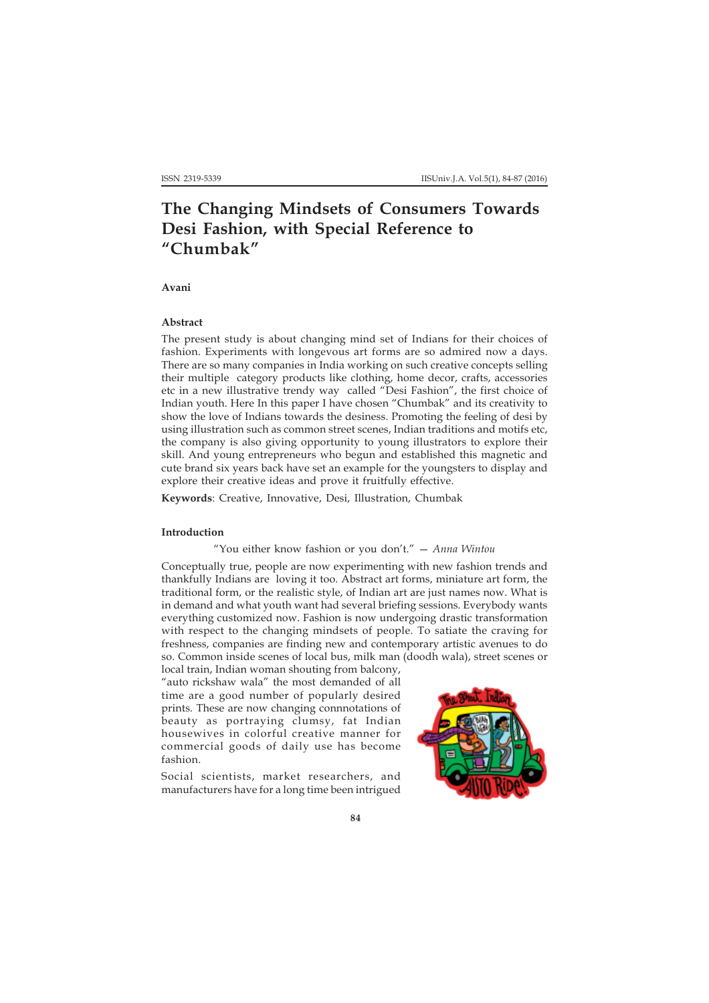# **The Changing Mindsets of Consumers Towards Desi Fashion, with Special Reference to "Chumbak"**

**Avani**

## **Abstract**

The present study is about changing mind set of Indians for their choices of fashion. Experiments with longevous art forms are so admired now a days. There are so many companies in India working on such creative concepts selling their multiple category products like clothing, home decor, crafts, accessories etc in a new illustrative trendy way called "Desi Fashion", the first choice of Indian youth. Here In this paper I have chosen "Chumbak" and its creativity to show the love of Indians towards the desiness. Promoting the feeling of desi by using illustration such as common street scenes, Indian traditions and motifs etc, the company is also giving opportunity to young illustrators to explore their skill. And young entrepreneurs who begun and established this magnetic and cute brand six years back have set an example for the youngsters to display and explore their creative ideas and prove it fruitfully effective.

**Keywords**: Creative, Innovative, Desi, Illustration, Chumbak

### **Introduction**

## "You either know fashion or you don't." — *Anna Wintou*

Conceptually true, people are now experimenting with new fashion trends and thankfully Indians are loving it too. Abstract art forms, miniature art form, the traditional form, or the realistic style, of Indian art are just names now. What is in demand and what youth want had several briefing sessions. Everybody wants everything customized now. Fashion is now undergoing drastic transformation with respect to the changing mindsets of people. To satiate the craving for freshness, companies are finding new and contemporary artistic avenues to do so. Common inside scenes of local bus, milk man (doodh wala), street scenes or

local train, Indian woman shouting from balcony, "auto rickshaw wala" the most demanded of all time are a good number of popularly desired prints. These are now changing connnotations of beauty as portraying clumsy, fat Indian housewives in colorful creative manner for commercial goods of daily use has become fashion.

Social scientists, market researchers, and manufacturers have for a long time been intrigued

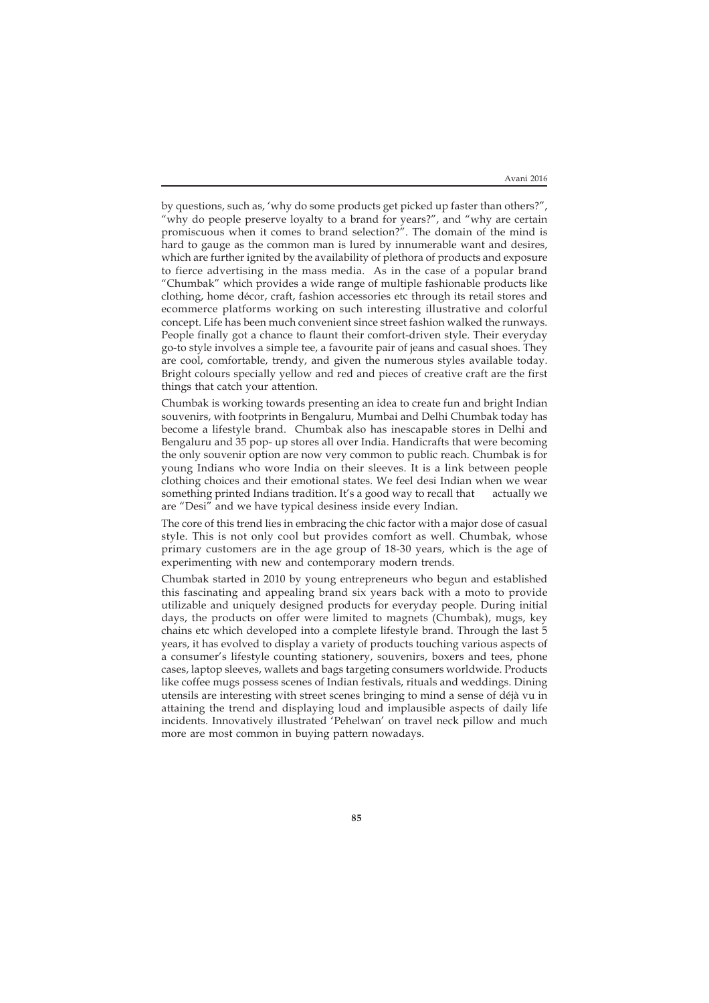by questions, such as, 'why do some products get picked up faster than others?", "why do people preserve loyalty to a brand for years?", and "why are certain promiscuous when it comes to brand selection?". The domain of the mind is hard to gauge as the common man is lured by innumerable want and desires, which are further ignited by the availability of plethora of products and exposure to fierce advertising in the mass media. As in the case of a popular brand "Chumbak" which provides a wide range of multiple fashionable products like clothing, home décor, craft, fashion accessories etc through its retail stores and ecommerce platforms working on such interesting illustrative and colorful concept. Life has been much convenient since street fashion walked the runways. People finally got a chance to flaunt their comfort-driven style. Their everyday go-to style involves a simple tee, a favourite pair of jeans and casual shoes. They are cool, comfortable, trendy, and given the numerous styles available today. Bright colours specially yellow and red and pieces of creative craft are the first things that catch your attention.

Chumbak is working towards presenting an idea to create fun and bright Indian souvenirs, with footprints in Bengaluru, Mumbai and Delhi Chumbak today has become a lifestyle brand. Chumbak also has inescapable stores in Delhi and Bengaluru and 35 pop- up stores all over India. Handicrafts that were becoming the only souvenir option are now very common to public reach. Chumbak is for young Indians who wore India on their sleeves. It is a link between people clothing choices and their emotional states. We feel desi Indian when we wear something printed Indians tradition. It's a good way to recall that actually we are "Desi" and we have typical desiness inside every Indian.

The core of this trend lies in embracing the chic factor with a major dose of casual style. This is not only cool but provides comfort as well. Chumbak, whose primary customers are in the age group of 18-30 years, which is the age of experimenting with new and contemporary modern trends.

Chumbak started in 2010 by young entrepreneurs who begun and established this fascinating and appealing brand six years back with a moto to provide utilizable and uniquely designed products for everyday people. During initial days, the products on offer were limited to magnets (Chumbak), mugs, key chains etc which developed into a complete lifestyle brand. Through the last 5 years, it has evolved to display a variety of products touching various aspects of a consumer's lifestyle counting stationery, souvenirs, boxers and tees, phone cases, laptop sleeves, wallets and bags targeting consumers worldwide. Products like coffee mugs possess scenes of Indian festivals, rituals and weddings. Dining utensils are interesting with street scenes bringing to mind a sense of déjà vu in attaining the trend and displaying loud and implausible aspects of daily life incidents. Innovatively illustrated 'Pehelwan' on travel neck pillow and much more are most common in buying pattern nowadays.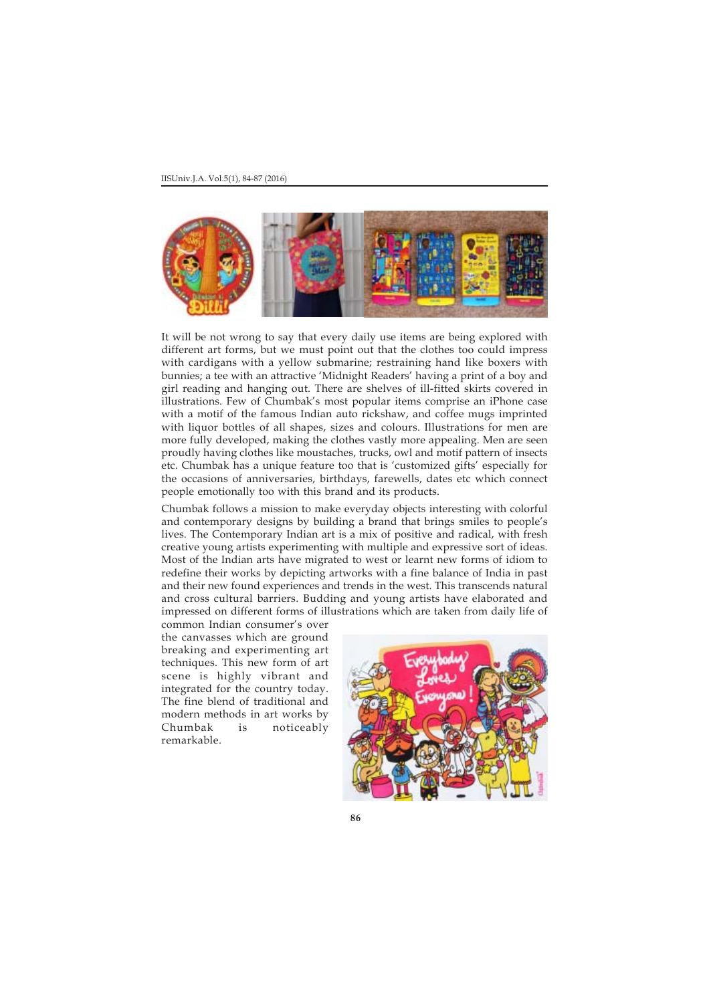

It will be not wrong to say that every daily use items are being explored with different art forms, but we must point out that the clothes too could impress with cardigans with a yellow submarine; restraining hand like boxers with bunnies; a tee with an attractive 'Midnight Readers' having a print of a boy and girl reading and hanging out. There are shelves of ill-fitted skirts covered in illustrations. Few of Chumbak's most popular items comprise an iPhone case with a motif of the famous Indian auto rickshaw, and coffee mugs imprinted with liquor bottles of all shapes, sizes and colours. Illustrations for men are more fully developed, making the clothes vastly more appealing. Men are seen proudly having clothes like moustaches, trucks, owl and motif pattern of insects etc. Chumbak has a unique feature too that is 'customized gifts' especially for the occasions of anniversaries, birthdays, farewells, dates etc which connect people emotionally too with this brand and its products.

Chumbak follows a mission to make everyday objects interesting with colorful and contemporary designs by building a brand that brings smiles to people's lives. The Contemporary Indian art is a mix of positive and radical, with fresh creative young artists experimenting with multiple and expressive sort of ideas. Most of the Indian arts have migrated to west or learnt new forms of idiom to redefine their works by depicting artworks with a fine balance of India in past and their new found experiences and trends in the west. This transcends natural and cross cultural barriers. Budding and young artists have elaborated and impressed on different forms of illustrations which are taken from daily life of

common Indian consumer's over the canvasses which are ground breaking and experimenting art techniques. This new form of art scene is highly vibrant and integrated for the country today. The fine blend of traditional and modern methods in art works by Chumbak is noticeably remarkable.